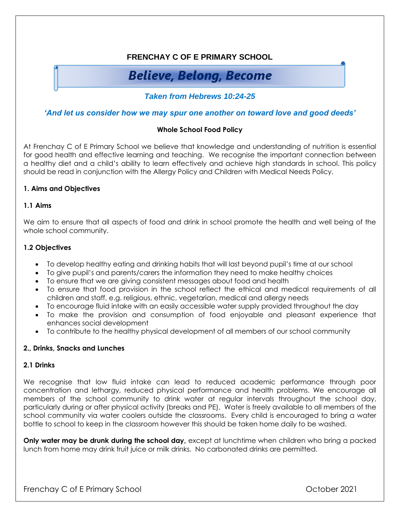# **FRENCHAY C OF E PRIMARY SCHOOL**

# **Believe, Belong, Become**

*Taken from Hebrews 10:24-25* 

## *'And let us consider how we may spur one another on toward love and good deeds'*

### **Whole School Food Policy**

At Frenchay C of E Primary School we believe that knowledge and understanding of nutrition is essential for good health and effective learning and teaching. We recognise the important connection between a healthy diet and a child's ability to learn effectively and achieve high standards in school. This policy should be read in conjunction with the Allergy Policy and Children with Medical Needs Policy.

### **1. Aims and Objectives**

### **1.1 Aims**

We aim to ensure that all aspects of food and drink in school promote the health and well being of the whole school community.

### **1.2 Objectives**

- To develop healthy eating and drinking habits that will last beyond pupil's time at our school
- To give pupil's and parents/carers the information they need to make healthy choices
- To ensure that we are giving consistent messages about food and health
- To ensure that food provision in the school reflect the ethical and medical requirements of all children and staff, e.g. religious, ethnic, vegetarian, medical and allergy needs
- To encourage fluid intake with an easily accessible water supply provided throughout the day
- To make the provision and consumption of food enjoyable and pleasant experience that enhances social development
- To contribute to the healthy physical development of all members of our school community

#### **2., Drinks, Snacks and Lunches**

#### **2.1 Drinks**

We recognise that low fluid intake can lead to reduced academic performance through poor concentration and lethargy, reduced physical performance and health problems. We encourage all members of the school community to drink water at regular intervals throughout the school day, particularly during or after physical activity (breaks and PE). Water is freely available to all members of the school community via water coolers outside the classrooms. Every child is encouraged to bring a water bottle to school to keep in the classroom however this should be taken home daily to be washed.

**Only water may be drunk during the school day**, except at lunchtime when children who bring a packed lunch from home may drink fruit juice or milk drinks. No carbonated drinks are permitted.

Frenchay C of E Primary School **Exercise 2021**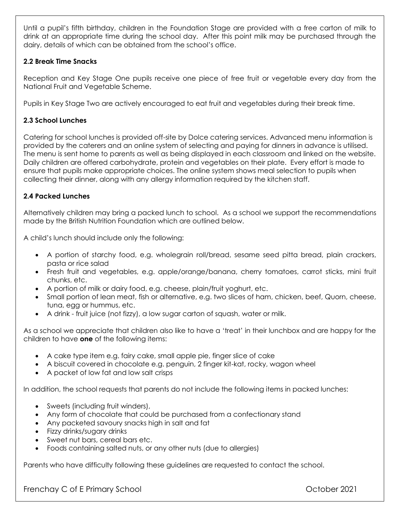Until a pupil's fifth birthday, children in the Foundation Stage are provided with a free carton of milk to drink at an appropriate time during the school day. After this point milk may be purchased through the dairy, details of which can be obtained from the school's office.

## **2.2 Break Time Snacks**

Reception and Key Stage One pupils receive one piece of free fruit or vegetable every day from the National Fruit and Vegetable Scheme.

Pupils in Key Stage Two are actively encouraged to eat fruit and vegetables during their break time.

## **2.3 School Lunches**

Catering for school lunches is provided off-site by Dolce catering services. Advanced menu information is provided by the caterers and an online system of selecting and paying for dinners in advance is utilised. The menu is sent home to parents as well as being displayed in each classroom and linked on the website. Daily children are offered carbohydrate, protein and vegetables on their plate. Every effort is made to ensure that pupils make appropriate choices. The online system shows meal selection to pupils when collecting their dinner, along with any allergy information required by the kitchen staff.

## **2.4 Packed Lunches**

Alternatively children may bring a packed lunch to school.As a school we support the recommendations made by the British Nutrition Foundation which are outlined below.

A child's lunch should include only the following:

- A portion of starchy food, e.g. wholegrain roll/bread, sesame seed pitta bread, plain crackers, pasta or rice salad
- Fresh fruit and vegetables, e.g. apple/orange/banana, cherry tomatoes, carrot sticks, mini fruit chunks, etc.
- A portion of milk or dairy food, e.g. cheese, plain/fruit yoghurt, etc.
- Small portion of lean meat, fish or alternative, e.g. two slices of ham, chicken, beef, Quorn, cheese, tuna, egg or hummus, etc.
- A drink fruit juice (not fizzy), a low sugar carton of squash, water or milk.

As a school we appreciate that children also like to have a 'treat' in their lunchbox and are happy for the children to have **one** of the following items:

- A cake type item e.g. fairy cake, small apple pie, finger slice of cake
- A biscuit covered in chocolate e.g. penguin, 2 finger kit-kat, rocky, wagon wheel
- A packet of low fat and low salt crisps

In addition, the school requests that parents do not include the following items in packed lunches:

- Sweets (including fruit winders),
- Any form of chocolate that could be purchased from a confectionary stand
- Any packeted savoury snacks high in salt and fat
- Fizzy drinks/sugary drinks
- Sweet nut bars, cereal bars etc.
- Foods containing salted nuts, or any other nuts (due to allergies)

Parents who have difficulty following these guidelines are requested to contact the school.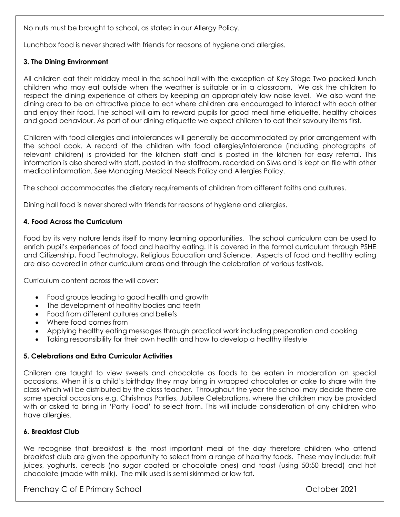No nuts must be brought to school, as stated in our Allergy Policy.

Lunchbox food is never shared with friends for reasons of hygiene and allergies.

## **3. The Dining Environment**

All children eat their midday meal in the school hall with the exception of Key Stage Two packed lunch children who may eat outside when the weather is suitable or in a classroom. We ask the children to respect the dining experience of others by keeping an appropriately low noise level. We also want the dining area to be an attractive place to eat where children are encouraged to interact with each other and enjoy their food. The school will aim to reward pupils for good meal time etiquette, healthy choices and good behaviour. As part of our dining etiquette we expect children to eat their savoury items first.

Children with food allergies and intolerances will generally be accommodated by prior arrangement with the school cook. A record of the children with food allergies/intolerance (including photographs of relevant children) is provided for the kitchen staff and is posted in the kitchen for easy referral. This information is also shared with staff, posted in the staffroom, recorded on SIMs and is kept on file with other medical information. See Managing Medical Needs Policy and Allergies Policy.

The school accommodates the dietary requirements of children from different faiths and cultures.

Dining hall food is never shared with friends for reasons of hygiene and allergies.

## **4. Food Across the Curriculum**

Food by its very nature lends itself to many learning opportunities. The school curriculum can be used to enrich pupil's experiences of food and healthy eating. It is covered in the formal curriculum through PSHE and Citizenship, Food Technology, Religious Education and Science. Aspects of food and healthy eating are also covered in other curriculum areas and through the celebration of various festivals.

Curriculum content across the will cover:

- Food groups leading to good health and growth
- The development of healthy bodies and teeth
- Food from different cultures and beliefs
- Where food comes from
- Applying healthy eating messages through practical work including preparation and cooking
- Taking responsibility for their own health and how to develop a healthy lifestyle

## **5. Celebrations and Extra Curricular Activities**

Children are taught to view sweets and chocolate as foods to be eaten in moderation on special occasions. When it is a child's birthday they may bring in wrapped chocolates or cake to share with the class which will be distributed by the class teacher. Throughout the year the school may decide there are some special occasions e.g. Christmas Parties, Jubilee Celebrations, where the children may be provided with or asked to bring in 'Party Food' to select from. This will include consideration of any children who have allergies.

## **6. Breakfast Club**

We recognise that breakfast is the most important meal of the day therefore children who attend breakfast club are given the opportunity to select from a range of healthy foods. These may include: fruit juices, yoghurts, cereals (no sugar coated or chocolate ones) and toast (using 50:50 bread) and hot chocolate (made with milk). The milk used is semi skimmed or low fat.

Frenchay C of E Primary School **Exercise 2021**